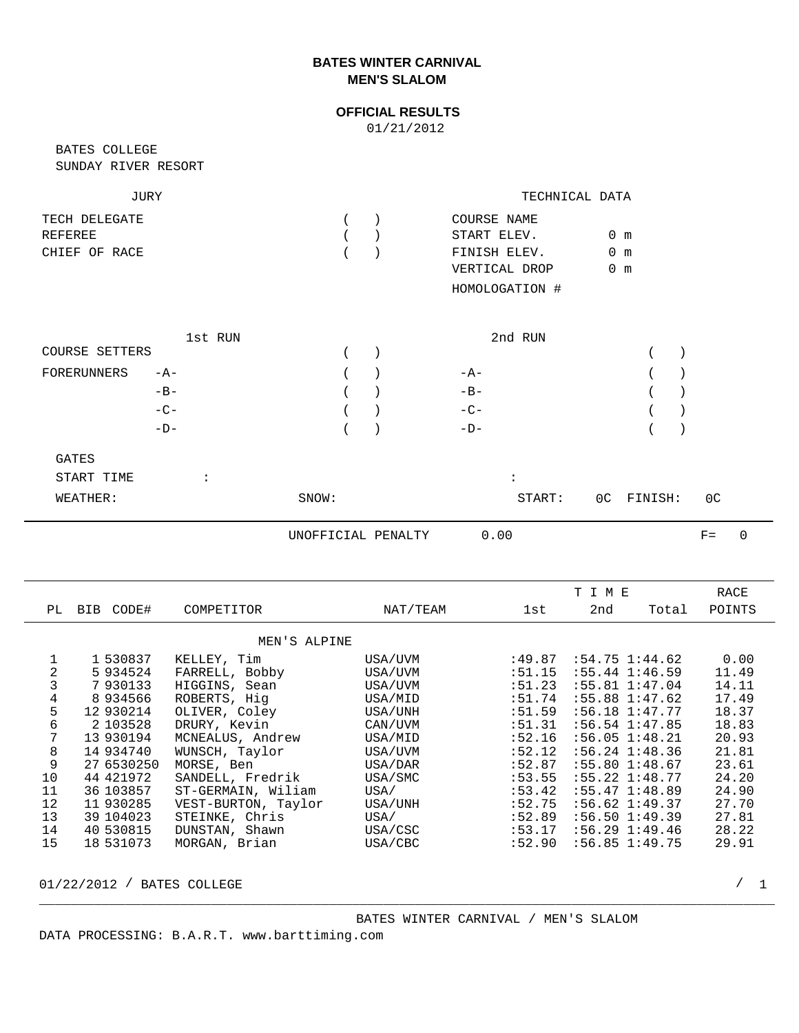## **BATES WINTER CARNIVAL MEN'S SLALOM**

## **OFFICIAL RESULTS**

01/21/2012

SUNDAY RIVER RESORT BATES COLLEGE

| JURY          | TECHNICAL DATA |                |     |  |
|---------------|----------------|----------------|-----|--|
| TECH DELEGATE |                | COURSE NAME    |     |  |
| REFEREE       |                | START ELEV.    | 0 m |  |
| CHIEF OF RACE |                | FINISH ELEV.   | 0 m |  |
|               |                | VERTICAL DROP  | m   |  |
|               |                | HOMOLOGATION # |     |  |

|                             | 1st RUN |         | 2nd RUN |  |
|-----------------------------|---------|---------|---------|--|
| COURSE SETTERS              |         |         |         |  |
| FORERUNNERS<br>$-A-$        |         | $($ $)$ | $-A-$   |  |
| $-B-$                       |         |         | $-B-$   |  |
| $-C-$                       |         |         | $-C-$   |  |
| $-D-$                       |         | $($ $)$ | $-D-$   |  |
| $\alpha$ <sub>n</sub> $\pi$ |         |         |         |  |

| GATES      |           |       |        |            |    |
|------------|-----------|-------|--------|------------|----|
| START TIME | $\bullet$ |       |        |            |    |
| WEATHER:   |           | SNOW: | START: | OC FINISH: | 0C |

UNOFFICIAL PENALTY 0.00

|                |            |                     |          |         | TIME               |       | RACE   |
|----------------|------------|---------------------|----------|---------|--------------------|-------|--------|
| PL             | BIB CODE#  | COMPETITOR          | NAT/TEAM | 1st     | 2nd                | Total | POINTS |
|                |            | MEN'S ALPINE        |          |         |                    |       |        |
|                |            |                     |          |         |                    |       |        |
|                | 1 530837   | KELLEY, Tim         | USA/UVM  | :49.87  | $:54.75$ $1:44.62$ |       | 0.00   |
| $\overline{2}$ | 5934524    | FARRELL, Bobby      | USA/UVM  | : 51.15 | $:55.44$ $1:46.59$ |       | 11.49  |
| 3              | 7930133    | HIGGINS, Sean       | USA/UVM  | : 51.23 | $:55.81$ $1:47.04$ |       | 14.11  |
| 4              | 8934566    | ROBERTS, Hig        | USA/MID  | :51.74  | $:55.88$ $1:47.62$ |       | 17.49  |
| 5              | 12 930214  | OLIVER, Coley       | USA/UNH  | :51.59  | $:56.18$ $1:47.77$ |       | 18.37  |
| 6              | 2 103528   | DRURY, Kevin        | CAN/UVM  | :51.31  | $:56.54$ $1:47.85$ |       | 18.83  |
| 7              | 13 930194  | MCNEALUS, Andrew    | USA/MID  | :52.16  | $:56.05$ $1:48.21$ |       | 20.93  |
| 8              | 14 934740  | WUNSCH, Taylor      | USA/UVM  | :52.12  | $:56.24$ $1:48.36$ |       | 21.81  |
| 9              | 27 6530250 | MORSE, Ben          | USA/DAR  | :52.87  | $:55.80$ $1:48.67$ |       | 23.61  |
| 10             | 44 421972  | SANDELL, Fredrik    | USA/SMC  | :53.55  | $:55.22$ $1:48.77$ |       | 24.20  |
| 11             | 36 103857  | ST-GERMAIN, Wiliam  | USA/     | : 53.42 | :55.471:38.89      |       | 24.90  |
| 12             | 11 930285  | VEST-BURTON, Taylor | USA/UNH  | :52.75  | :56.621:39.37      |       | 27.70  |
| 13             | 39 104023  | STEINKE, Chris      | USA/     | :52.89  | $:56.50$ $1:49.39$ |       | 27.81  |
| 14             | 40 530815  | DUNSTAN, Shawn      | USA/CSC  | : 53.17 | $:56.29$ $1:49.46$ |       | 28.22  |
| 15             | 18 531073  | MORGAN, Brian       | USA/CBC  | :52.90  | $:56.85$ $1:49.75$ |       | 29.91  |
|                |            |                     |          |         |                    |       |        |

\_\_\_\_\_\_\_\_\_\_\_\_\_\_\_\_\_\_\_\_\_\_\_\_\_\_\_\_\_\_\_\_\_\_\_\_\_\_\_\_\_\_\_\_\_\_\_\_\_\_\_\_\_\_\_\_\_\_\_\_\_\_\_\_\_\_\_\_\_\_\_\_\_\_\_\_\_\_\_\_\_\_\_\_\_\_\_\_\_\_\_\_\_\_

01/22/2012 / BATES COLLEGE 2008 2009 12:00 2009 2009 2012 2020 2020 2030 2040 2050 2060 2070 2080 2090 2009 20

DATA PROCESSING: B.A.R.T. www.barttiming.com

 $/ 1$ 

 $F=$  0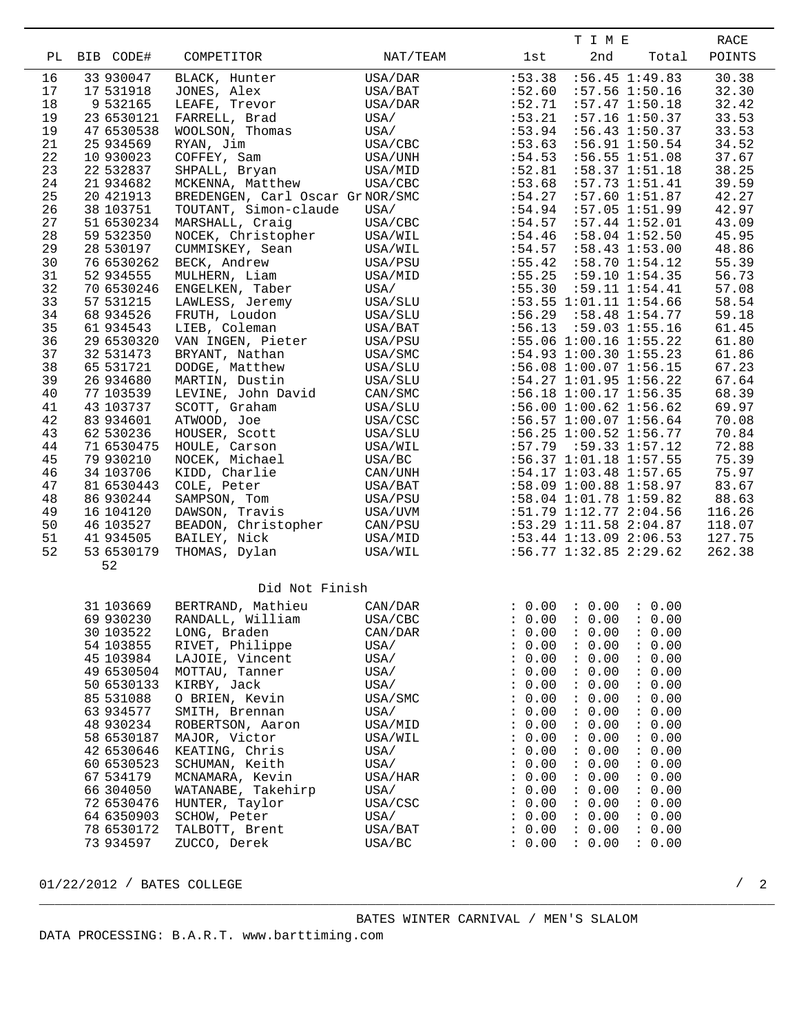|          |                          |                                  |                    |                              | T I M E                                            |                |
|----------|--------------------------|----------------------------------|--------------------|------------------------------|----------------------------------------------------|----------------|
| PL       | BIB CODE#                | COMPETITOR                       | NAT/TEAM           | lst                          | 2nd<br>Total                                       | POINTS         |
| 16       | 33 930047                | BLACK, Hunter                    | USA/DAR            | :53.38                       | $:56.45$ 1:49.83                                   | 30.38          |
| 17       | 17 531918                | JONES, Alex                      | USA/BAT            | :52.60                       | $:57.56$ 1:50.16                                   | 32.30          |
| 18       | 9 532165                 | LEAFE, Trevor                    | USA/DAR            | :52.71                       | :57.47 1:50.18                                     | 32.42          |
| 19       | 23 6530121               | FARRELL, Brad                    | USA/               | : 53.21                      | $:57.16$ 1:50.37                                   | 33.53          |
| 19<br>21 | 47 6530538<br>25 934569  | WOOLSON, Thomas                  | USA/               | :53.94<br>:53.63             | $:56.43$ $1:50.37$<br>:56.91 1:50.54               | 33.53<br>34.52 |
| 22       | 10 930023                | RYAN, Jim<br>COFFEY, Sam         | USA/CBC<br>USA/UNH | :54.53                       | $:56.55$ $1:51.08$                                 | 37.67          |
| 23       | 22 532837                | SHPALL, Bryan                    | USA/MID            | :52.81                       | :58.37 1:51.18                                     | 38.25          |
| 24       | 21 934682                | MCKENNA, Matthew                 | USA/CBC            | :53.68                       | $:57.73$ $1:51.41$                                 | 39.59          |
| 25       | 20 421913                | BREDENGEN, Carl Oscar GrNOR/SMC  |                    | :54.27                       | $:57.60$ $1:51.87$                                 | 42.27          |
| 26       | 38 103751                | TOUTANT, Simon-claude            | USA/               | :54.94                       | $:57.05$ 1:51.99                                   | 42.97          |
| 27       | 51 6530234               | MARSHALL, Craig                  | USA/CBC            | :54.57                       | $:57.44$ $1:52.01$                                 | 43.09          |
| 28       | 59 532350                | NOCEK, Christopher               | USA/WIL            | :54.46                       | $:58.04$ 1:52.50                                   | 45.95          |
| 29       | 28 530197                | CUMMISKEY, Sean                  | USA/WIL            | :54.57                       | $:58.43$ $1:53.00$                                 | 48.86          |
| 30       | 76 6530262               | BECK, Andrew                     | USA/PSU            | :55.42                       | $:58.70$ $1:54.12$                                 | 55.39          |
| 31       | 52 934555                | MULHERN, Liam                    | USA/MID            | :55.25                       | $:59.10$ $1:54.35$                                 | 56.73          |
| 32<br>33 | 70 6530246<br>57 531215  | ENGELKEN, Taber                  | USA/               | :55.30                       | $:59.11$ $1:54.41$<br>$:53.55$ $1:01.11$ $1:54.66$ | 57.08<br>58.54 |
| 34       | 68 934526                | LAWLESS, Jeremy<br>FRUTH, Loudon | USA/SLU<br>USA/SLU | :56.29                       | $:58.48$ $1:54.77$                                 | 59.18          |
| 35       | 61 934543                | LIEB, Coleman                    | USA/BAT            | :56.13                       | $:59.03$ $1:55.16$                                 | 61.45          |
| 36       | 29 6530320               | VAN INGEN, Pieter                | USA/PSU            |                              | $:55.06$ 1:00.16 1:55.22                           | 61.80          |
| 37       | 32 531473                | BRYANT, Nathan                   | USA/SMC            |                              | :54.93 1:00.30 1:55.23                             | 61.86          |
| 38       | 65 531721                | DODGE, Matthew                   | USA/SLU            |                              | :56.08 1:00.07 1:56.15                             | 67.23          |
| 39       | 26 934680                | MARTIN, Dustin                   | USA/SLU            |                              | $:54.27$ 1:01.95 1:56.22                           | 67.64          |
| 40       | 77 103539                | LEVINE, John David               | CAN/SMC            |                              | $:56.18$ 1:00.17 1:56.35                           | 68.39          |
| 41       | 43 103737                | SCOTT, Graham                    | USA/SLU            |                              | $:56.00$ 1:00.62 1:56.62                           | 69.97          |
| 42       | 83 934601                | ATWOOD, Joe                      | USA/CSC            |                              | $:56.57$ 1:00.07 1:56.64                           | 70.08          |
| 43       | 62 530236                | HOUSER, Scott                    | USA/SLU            |                              | :56.25 1:00.52 1:56.77                             | 70.84          |
| 44       | 71 6530475               | HOULE, Carson                    | USA/WIL            |                              | $:57.79$ $:59.33$ $1:57.12$                        | 72.88          |
| 45<br>46 | 79 930210<br>34 103706   | NOCEK, Michael<br>KIDD, Charlie  | USA/BC<br>CAN/UNH  |                              | :56.37 1:01.18 1:57.55<br>:54.17 1:03.48 1:57.65   | 75.39<br>75.97 |
| 47       | 81 6530443               | COLE, Peter                      | USA/BAT            |                              | :58.09 1:00.88 1:58.97                             | 83.67          |
| 48       | 86 930244                | SAMPSON, Tom                     | USA/PSU            |                              | :58.04 1:01.78 1:59.82                             | 88.63          |
| 49       | 16 104120                | DAWSON, Travis                   | USA/UVM            |                              | $:51.79$ $1:12.77$ $2:04.56$                       | 116.26         |
| 50       | 46 103527                | BEADON, Christopher              | CAN/PSU            |                              | $:53.29$ 1:11.58 2:04.87                           | 118.07         |
| 51       | 41 934505                | BAILEY, Nick                     | USA/MID            |                              | :53.44 1:13.09 2:06.53                             | 127.75         |
| 52       | 53 6530179               | THOMAS, Dylan                    | USA/WIL            |                              | $:56.77$ 1:32.85 2:29.62                           | 262.38         |
|          | 52                       |                                  |                    |                              |                                                    |                |
|          |                          | Did Not Finish                   |                    |                              |                                                    |                |
|          | 31 103669                | BERTRAND, Mathieu                | CAN/DAR            | : 0.00                       | : 0.00 : 0.00                                      |                |
|          | 69 930230                | RANDALL, William                 | USA/CBC            | 0.00<br>$\ddot{\phantom{0}}$ | : 0.00<br>: 0.00                                   |                |
|          | 30 103522                | LONG, Braden                     | CAN/DAR            | : 0.00                       | : 0.00<br>: 0.00                                   |                |
|          | 54 103855                | RIVET, Philippe                  | USA/               | : 0.00                       | : 0.00<br>: 0.00                                   |                |
|          | 45 103984                | LAJOIE, Vincent                  | USA/               | : 0.00                       | : 0.00<br>: 0.00                                   |                |
|          | 49 6530504<br>50 6530133 | MOTTAU, Tanner<br>KIRBY, Jack    | USA/<br>USA/       | : 0.00<br>: 0.00             | : 0.00<br>: 0.00<br>: 0.00<br>: 0.00               |                |
|          | 85 531088                | O BRIEN, Kevin                   | USA/SMC            | $\ddot{\phantom{0}}$<br>0.00 | : 0.00<br>: 0.00                                   |                |
|          | 63 934577                | SMITH, Brennan                   | USA/               | : 0.00                       | : 0.00<br>: 0.00                                   |                |
|          | 48 930234                | ROBERTSON, Aaron                 | USA/MID            | : 0.00                       | : 0.00<br>: 0.00                                   |                |
|          | 58 6530187               | MAJOR, Victor                    | USA/WIL            | : 0.00                       | : 0.00<br>: 0.00                                   |                |
|          | 42 6530646               | KEATING, Chris                   | USA/               | : 0.00                       | : 0.00<br>: 0.00                                   |                |
|          | 60 6530523               | SCHUMAN, Keith                   | USA/               | : 0.00                       | : 0.00<br>: 0.00                                   |                |
|          | 67 534179                | MCNAMARA, Kevin                  | USA/HAR            | : 0.00                       | : 0.00<br>: 0.00                                   |                |
|          | 66 304050                | WATANABE, Takehirp               | USA/               | : 0.00                       | : 0.00<br>: 0.00                                   |                |
|          | 72 6530476               | HUNTER, Taylor                   | USA/CSC            | : 0.00                       | : 0.00<br>: 0.00                                   |                |
|          | 64 6350903               | SCHOW, Peter                     | USA/               | : 0.00                       | : 0.00<br>: 0.00                                   |                |
|          | 78 6530172<br>73 934597  | TALBOTT, Brent<br>ZUCCO, Derek   | USA/BAT<br>USA/BC  | : 0.00<br>: 0.00             | : 0.00<br>: 0.00<br>: 0.00<br>: 0.00               |                |
|          |                          |                                  |                    |                              |                                                    |                |

01/22/2012 / BATES COLLEGE 2007 2012 2

/ 2

\_\_\_\_\_\_\_\_\_\_\_\_\_\_\_\_\_\_\_\_\_\_\_\_\_\_\_\_\_\_\_\_\_\_\_\_\_\_\_\_\_\_\_\_\_\_\_\_\_\_\_\_\_\_\_\_\_\_\_\_\_\_\_\_\_\_\_\_\_\_\_\_\_\_\_\_\_\_\_\_\_\_\_\_\_\_\_\_\_\_\_\_\_\_